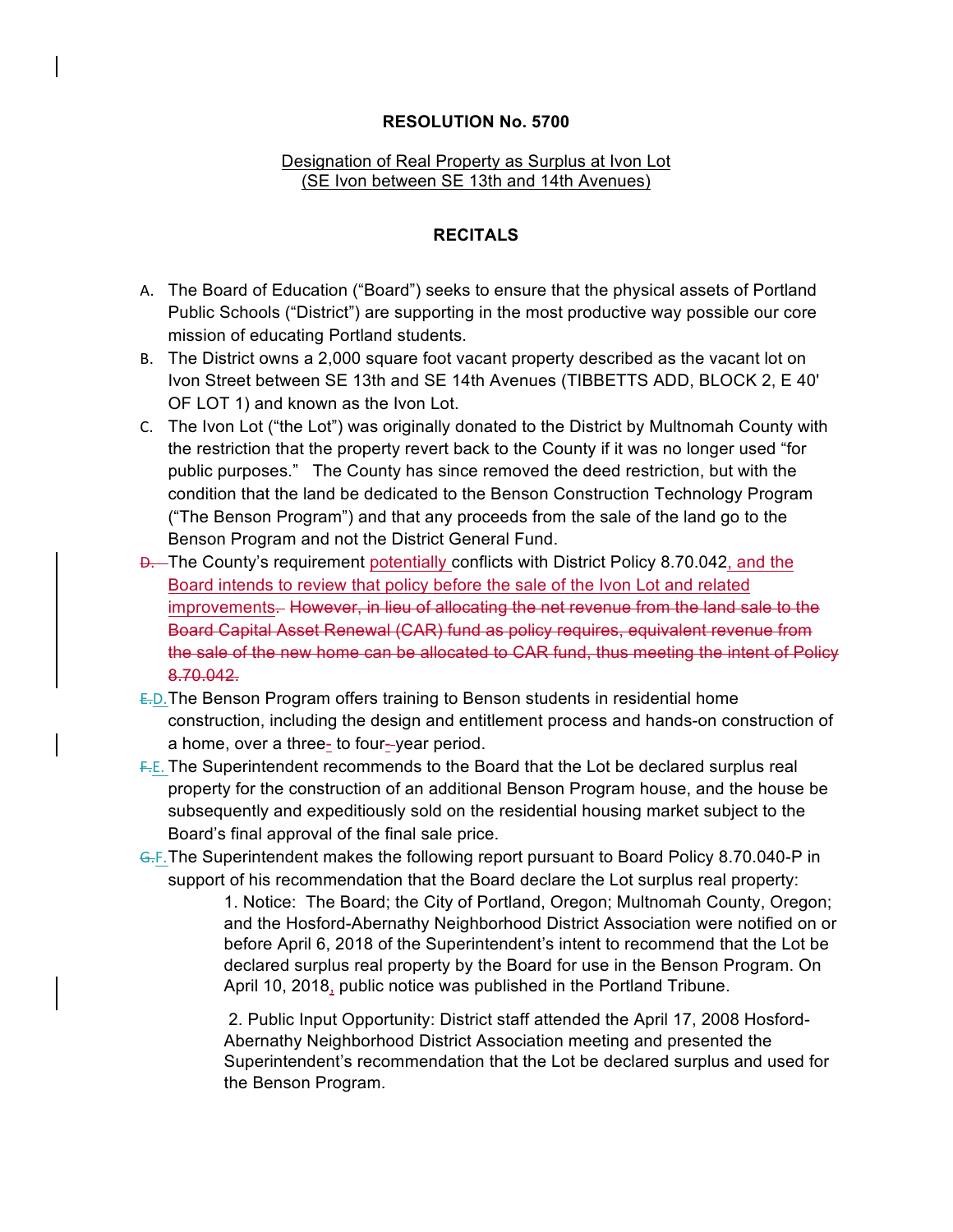## **RESOLUTION No. 5700**

## Designation of Real Property as Surplus at Ivon Lot (SE Ivon between SE 13th and 14th Avenues)

## **RECITALS**

- A. The Board of Education ("Board") seeks to ensure that the physical assets of Portland Public Schools ("District") are supporting in the most productive way possible our core mission of educating Portland students.
- B. The District owns a 2,000 square foot vacant property described as the vacant lot on Ivon Street between SE 13th and SE 14th Avenues (TIBBETTS ADD, BLOCK 2, E 40' OF LOT 1) and known as the Ivon Lot.
- C. The Ivon Lot ("the Lot") was originally donated to the District by Multnomah County with the restriction that the property revert back to the County if it was no longer used "for public purposes." The County has since removed the deed restriction, but with the condition that the land be dedicated to the Benson Construction Technology Program ("The Benson Program") and that any proceeds from the sale of the land go to the Benson Program and not the District General Fund.
- $\overline{D}$ . The County's requirement potentially conflicts with District Policy 8.70.042, and the Board intends to review that policy before the sale of the Ivon Lot and related improvements. However, in lieu of allocating the net revenue from the land sale to the Board Capital Asset Renewal (CAR) fund as policy requires, equivalent revenue from the sale of the new home can be allocated to CAR fund, thus meeting the intent of Policy 8.70.042.
- E.D.The Benson Program offers training to Benson students in residential home construction, including the design and entitlement process and hands-on construction of a home, over a three- to four--year period.
- F.E. The Superintendent recommends to the Board that the Lot be declared surplus real property for the construction of an additional Benson Program house, and the house be subsequently and expeditiously sold on the residential housing market subject to the Board's final approval of the final sale price.
- G.F.The Superintendent makes the following report pursuant to Board Policy 8.70.040-P in support of his recommendation that the Board declare the Lot surplus real property:

1. Notice: The Board; the City of Portland, Oregon; Multnomah County, Oregon; and the Hosford-Abernathy Neighborhood District Association were notified on or before April 6, 2018 of the Superintendent's intent to recommend that the Lot be declared surplus real property by the Board for use in the Benson Program. On April 10, 2018, public notice was published in the Portland Tribune.

2. Public Input Opportunity: District staff attended the April 17, 2008 Hosford-Abernathy Neighborhood District Association meeting and presented the Superintendent's recommendation that the Lot be declared surplus and used for the Benson Program.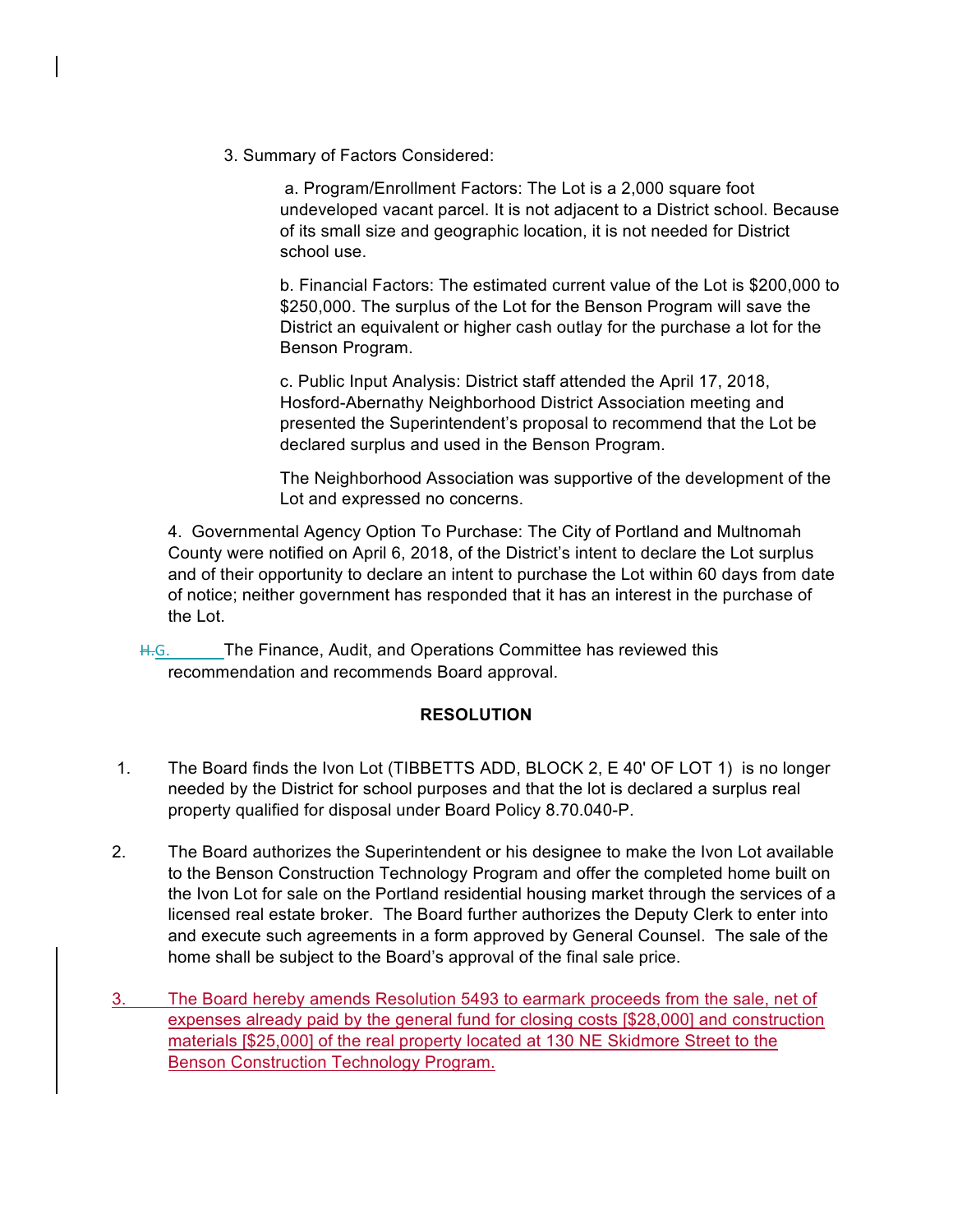3. Summary of Factors Considered:

a. Program/Enrollment Factors: The Lot is a 2,000 square foot undeveloped vacant parcel. It is not adjacent to a District school. Because of its small size and geographic location, it is not needed for District school use.

b. Financial Factors: The estimated current value of the Lot is \$200,000 to \$250,000. The surplus of the Lot for the Benson Program will save the District an equivalent or higher cash outlay for the purchase a lot for the Benson Program.

c. Public Input Analysis: District staff attended the April 17, 2018, Hosford-Abernathy Neighborhood District Association meeting and presented the Superintendent's proposal to recommend that the Lot be declared surplus and used in the Benson Program.

The Neighborhood Association was supportive of the development of the Lot and expressed no concerns.

4. Governmental Agency Option To Purchase: The City of Portland and Multnomah County were notified on April 6, 2018, of the District's intent to declare the Lot surplus and of their opportunity to declare an intent to purchase the Lot within 60 days from date of notice; neither government has responded that it has an interest in the purchase of the Lot.

H.G. The Finance, Audit, and Operations Committee has reviewed this recommendation and recommends Board approval.

## **RESOLUTION**

- 1. The Board finds the Ivon Lot (TIBBETTS ADD, BLOCK 2, E 40' OF LOT 1) is no longer needed by the District for school purposes and that the lot is declared a surplus real property qualified for disposal under Board Policy 8.70.040-P.
- 2. The Board authorizes the Superintendent or his designee to make the Ivon Lot available to the Benson Construction Technology Program and offer the completed home built on the Ivon Lot for sale on the Portland residential housing market through the services of a licensed real estate broker. The Board further authorizes the Deputy Clerk to enter into and execute such agreements in a form approved by General Counsel. The sale of the home shall be subject to the Board's approval of the final sale price.
- 3. The Board hereby amends Resolution 5493 to earmark proceeds from the sale, net of expenses already paid by the general fund for closing costs [\$28,000] and construction materials [\$25,000] of the real property located at 130 NE Skidmore Street to the Benson Construction Technology Program.